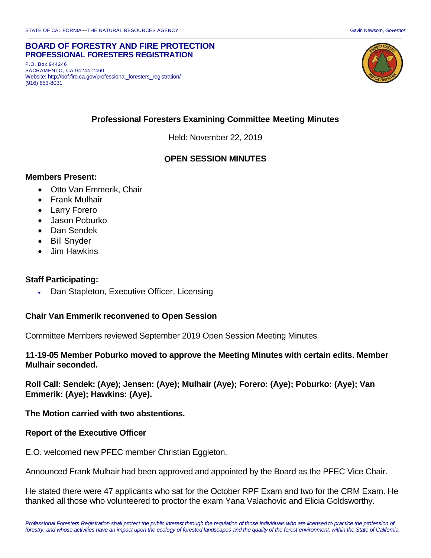#### **BOARD OF FORESTRY AND FIRE PROTECTION PROFESSIONAL FORESTERS REGISTRATION**

P.O. Box 944246 SACRAMENTO, CA 94244-2460 Website: http://bof.fire.ca.gov/professional\_foresters\_registration/ (916) 653-8031



# **Professional Foresters Examining Committee Meeting Minutes**

Held: November 22, 2019

## **OPEN SESSION MINUTES**

### **Members Present:**

- Otto Van Emmerik, Chair
- Frank Mulhair
- Larry Forero
- Jason Poburko
- Dan Sendek
- Bill Snyder
- Jim Hawkins

### **Staff Participating:**

• Dan Stapleton, Executive Officer, Licensing

### **Chair Van Emmerik reconvened to Open Session**

Committee Members reviewed September 2019 Open Session Meeting Minutes.

### **11-19-05 Member Poburko moved to approve the Meeting Minutes with certain edits. Member Mulhair seconded.**

**Roll Call: Sendek: (Aye); Jensen: (Aye); Mulhair (Aye); Forero: (Aye); Poburko: (Aye); Van Emmerik: (Aye); Hawkins: (Aye).** 

### **The Motion carried with two abstentions.**

### **Report of the Executive Officer**

E.O. welcomed new PFEC member Christian Eggleton.

Announced Frank Mulhair had been approved and appointed by the Board as the PFEC Vice Chair.

He stated there were 47 applicants who sat for the October RPF Exam and two for the CRM Exam. He thanked all those who volunteered to proctor the exam Yana Valachovic and Elicia Goldsworthy.